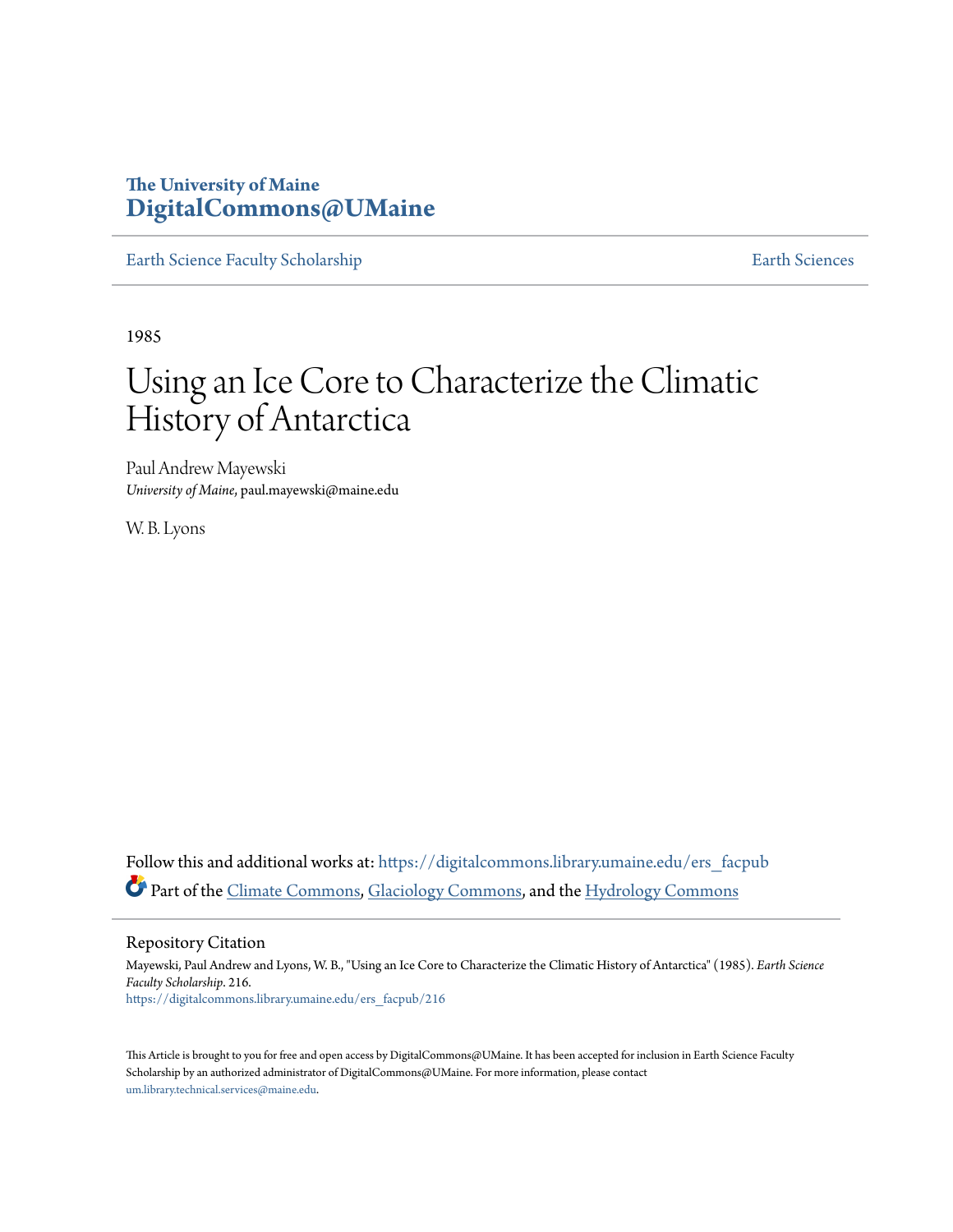## **The University of Maine [DigitalCommons@UMaine](https://digitalcommons.library.umaine.edu?utm_source=digitalcommons.library.umaine.edu%2Fers_facpub%2F216&utm_medium=PDF&utm_campaign=PDFCoverPages)**

[Earth Science Faculty Scholarship](https://digitalcommons.library.umaine.edu/ers_facpub?utm_source=digitalcommons.library.umaine.edu%2Fers_facpub%2F216&utm_medium=PDF&utm_campaign=PDFCoverPages) **[Earth Sciences](https://digitalcommons.library.umaine.edu/ers?utm_source=digitalcommons.library.umaine.edu%2Fers_facpub%2F216&utm_medium=PDF&utm_campaign=PDFCoverPages)** 

1985

# Using an Ice Core to Characterize the Climatic History of Antarctica

Paul Andrew Mayewski *University of Maine*, paul.mayewski@maine.edu

W. B. Lyons

Follow this and additional works at: [https://digitalcommons.library.umaine.edu/ers\\_facpub](https://digitalcommons.library.umaine.edu/ers_facpub?utm_source=digitalcommons.library.umaine.edu%2Fers_facpub%2F216&utm_medium=PDF&utm_campaign=PDFCoverPages) Part of the [Climate Commons,](http://network.bepress.com/hgg/discipline/188?utm_source=digitalcommons.library.umaine.edu%2Fers_facpub%2F216&utm_medium=PDF&utm_campaign=PDFCoverPages) [Glaciology Commons](http://network.bepress.com/hgg/discipline/159?utm_source=digitalcommons.library.umaine.edu%2Fers_facpub%2F216&utm_medium=PDF&utm_campaign=PDFCoverPages), and the [Hydrology Commons](http://network.bepress.com/hgg/discipline/1054?utm_source=digitalcommons.library.umaine.edu%2Fers_facpub%2F216&utm_medium=PDF&utm_campaign=PDFCoverPages)

Repository Citation

Mayewski, Paul Andrew and Lyons, W. B., "Using an Ice Core to Characterize the Climatic History of Antarctica" (1985). *Earth Science Faculty Scholarship*. 216. [https://digitalcommons.library.umaine.edu/ers\\_facpub/216](https://digitalcommons.library.umaine.edu/ers_facpub/216?utm_source=digitalcommons.library.umaine.edu%2Fers_facpub%2F216&utm_medium=PDF&utm_campaign=PDFCoverPages)

This Article is brought to you for free and open access by DigitalCommons@UMaine. It has been accepted for inclusion in Earth Science Faculty Scholarship by an authorized administrator of DigitalCommons@UMaine. For more information, please contact [um.library.technical.services@maine.edu](mailto:um.library.technical.services@maine.edu).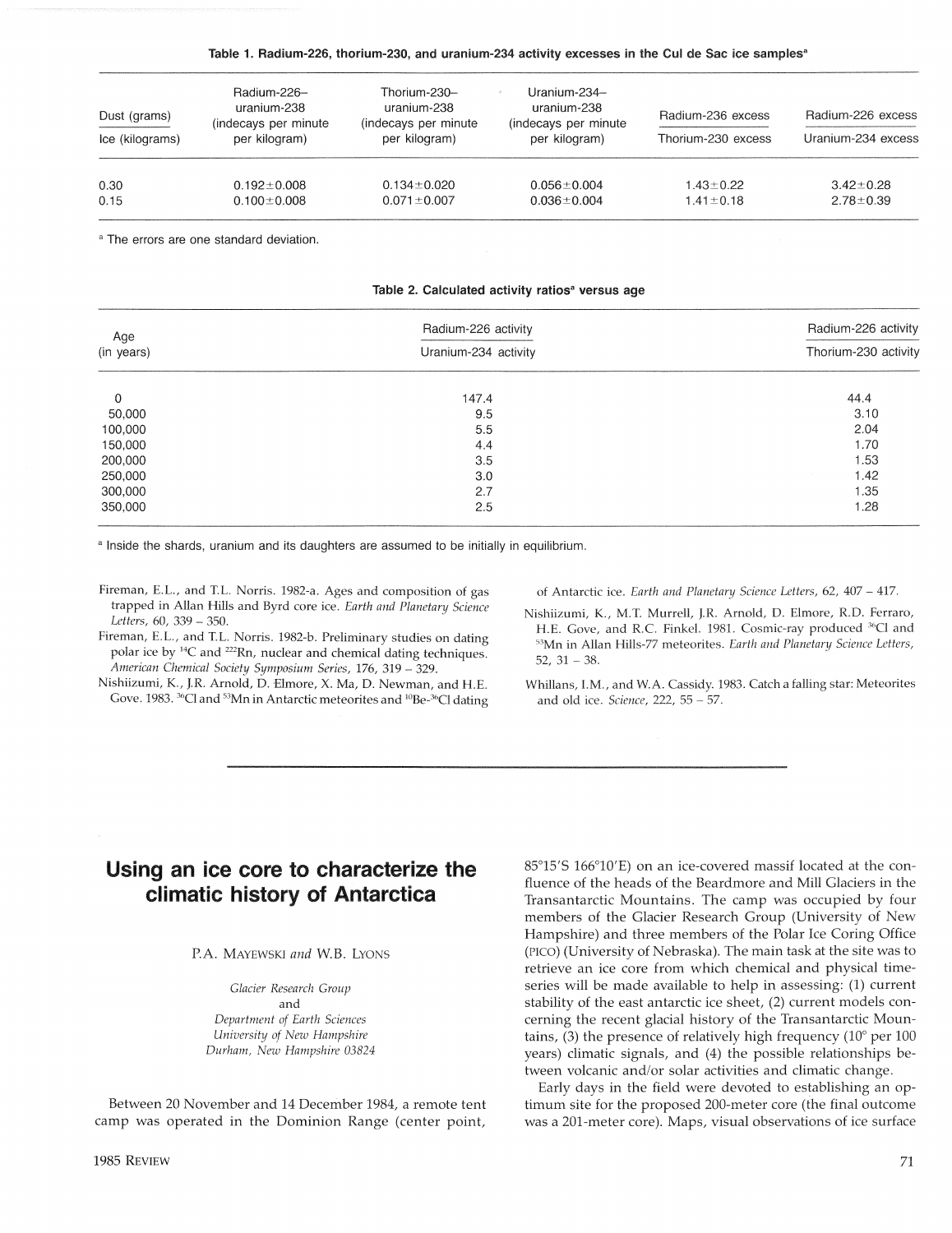|  | "Table 1. Radium-226, thorium-230, and uranium-234 activity excesses in the Cul de Sac ice samples |  |  |  |  |  |  |  |  |  |  |  |  |  |
|--|----------------------------------------------------------------------------------------------------|--|--|--|--|--|--|--|--|--|--|--|--|--|
|--|----------------------------------------------------------------------------------------------------|--|--|--|--|--|--|--|--|--|--|--|--|--|

| Dust (grams)    | Radium-226-<br>uranium-238<br>(indecays per minute | Thorium-230-<br>uranium-238<br>(indecays per minute) | Uranium-234–<br>uranium-238<br>(indecays per minute) | Radium-236 excess  | Radium-226 excess  |  |
|-----------------|----------------------------------------------------|------------------------------------------------------|------------------------------------------------------|--------------------|--------------------|--|
| Ice (kilograms) | per kilogram)                                      | per kilogram)                                        | per kilogram)                                        | Thorium-230 excess | Uranium-234 excess |  |
| 0.30            | $0.192 \pm 0.008$                                  | $0.134 \pm 0.020$                                    | $0.056 \pm 0.004$                                    | $1.43 \pm 0.22$    | $3.42 \pm 0.28$    |  |
| 0.15            | $0.100 \pm 0.008$                                  | $0.071 \pm 0.007$                                    | $0.036 \pm 0.004$                                    | $1.41 \pm 0.18$    | $2.78 \pm 0.39$    |  |

<sup>a</sup> The errors are one standard deviation.

|  | Table 2. Calculated activity ratios <sup>a</sup> versus age |  |  |  |  |
|--|-------------------------------------------------------------|--|--|--|--|
|--|-------------------------------------------------------------|--|--|--|--|

| Age        | Radium-226 activity  | Radium-226 activity<br>Thorium-230 activity |  |  |
|------------|----------------------|---------------------------------------------|--|--|
| (in years) | Uranium-234 activity |                                             |  |  |
| $\Omega$   | 147.4                | 44.4                                        |  |  |
| 50,000     | 9.5                  | 3.10                                        |  |  |
| 100,000    | 5.5                  | 2.04                                        |  |  |
| 150,000    | 4.4                  | 1.70                                        |  |  |
| 200,000    | 3.5                  | 1.53                                        |  |  |
| 250,000    | 3.0                  | 1.42                                        |  |  |
| 300,000    | 2.7                  | 1.35                                        |  |  |
| 350,000    | 2.5                  | 1.28                                        |  |  |
|            |                      |                                             |  |  |

<sup>a</sup> Inside the shards, uranium and its daughters are assumed to be initially in equilibrium.

- Fireman, E.L., and T.L. Norris. 1982-a. Ages and composition of gas trapped in Allan Hills and Byrd core ice. *Earth and Planetary Science Letters,* 60, 339 - 350.
- Fireman, E.L., and T.L. Norris. 1982-b. Preliminary studies on dating polar ice by <sup>14</sup>C and <sup>222</sup>Rn, nuclear and chemical dating techniques. *American Chemical Society Symposium Series,* 176, 319 - 329.
- Nishiizumi, K., ].R. Arnold, D. Elmore, X. Ma, D. Newman, and H.E. Gove. 1983. <sup>36</sup>Cl and <sup>53</sup>Mn in Antarctic meteorites and <sup>10</sup>Be-<sup>36</sup>Cl dating

of Antarctic ice. *Earth and Planetary Science Letters,* 62, 407 - 417.

- Nishiizumi, K., M.T. Murrell, J.R. Arnold, D. Elmore, R.D. Ferraro, H.E. Gove, and R.C. Finkel. 1981. Cosmic-ray produced <sup>36</sup>Cl and 53Mn in Allan Hills-77 meteorites. *Earth and Planetary Science Letters,*  52,  $31 - 38$ .
- Whillans, LM., and W.A. Cassidy. 1983. Catch a falling star: Meteorites and old ice. *Science,* 222, 55 - 57.

### **Using an ice core to characterize the climatic history of Antarctica**

P.A. MAYEWSKI and W.B. LYONS

*Glacier Research Group*  and *Department of Earth Sciences University of New Hampshire Durham, New Hampshire 03824* 

Between 20 November and 14 December 1984, a remote tent camp was operated in the Dominion Range (center point,

85°15'S 166°10'E) on an ice-covered massif located at the confluence of the heads of the Beardmore and Mill Glaciers in the Transantarctic Mountains. The camp was occupied by four members of the Glacier Research Group (University of New Hampshire) and three members of the Polar Ice Coring Office (PICO) (University of Nebraska). The main task at the site was to retrieve an ice core from which chemical and physical timeseries will be made available to help in assessing: (1) current stability of the east antarctic ice sheet, (2) current models concerning the recent glacial history of the Transantarctic Mountains, (3) the presence of relatively high frequency ( $10^{\circ}$  per  $100$ years) climatic signals, and (4) the possible relationships between volcanic and/or solar activities and climatic change.

Early days in the field were devoted to establishing an optimum site for the proposed 200-meter core (the final outcome was a 201-meter core). Maps, visual observations of ice surface